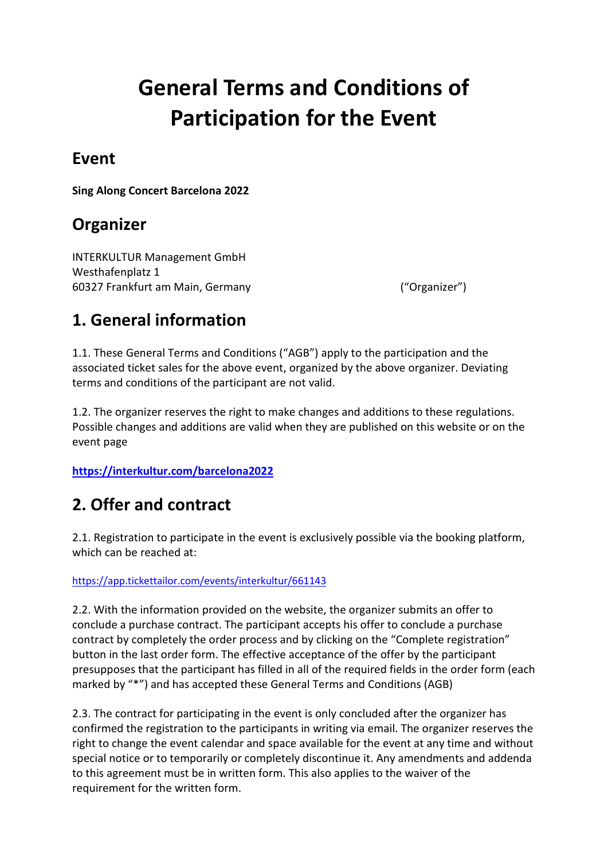# **General Terms and Conditions of Participation for the Event**

### **Event**

**Sing Along Concert Barcelona 2022**

### **Organizer**

INTERKULTUR Management GmbH Westhafenplatz 1 60327 Frankfurt am Main, Germany ("Organizer")

### **1. General information**

1.1. These General Terms and Conditions ("AGB") apply to the participation and the associated ticket sales for the above event, organized by the above organizer. Deviating terms and conditions of the participant are not valid.

1.2. The organizer reserves the right to make changes and additions to these regulations. Possible changes and additions are valid when they are published on this website or on the event page

**<https://interkultur.com/barcelona2022>**

### **2. Offer and contract**

2.1. Registration to participate in the event is exclusively possible via the booking platform, which can be reached at:

#### <https://app.tickettailor.com/events/interkultur/661143>

2.2. With the information provided on the website, the organizer submits an offer to conclude a purchase contract. The participant accepts his offer to conclude a purchase contract by completely the order process and by clicking on the "Complete registration" button in the last order form. The effective acceptance of the offer by the participant presupposes that the participant has filled in all of the required fields in the order form (each marked by "\*") and has accepted these General Terms and Conditions (AGB)

2.3. The contract for participating in the event is only concluded after the organizer has confirmed the registration to the participants in writing via email. The organizer reserves the right to change the event calendar and space available for the event at any time and without special notice or to temporarily or completely discontinue it. Any amendments and addenda to this agreement must be in written form. This also applies to the waiver of the requirement for the written form.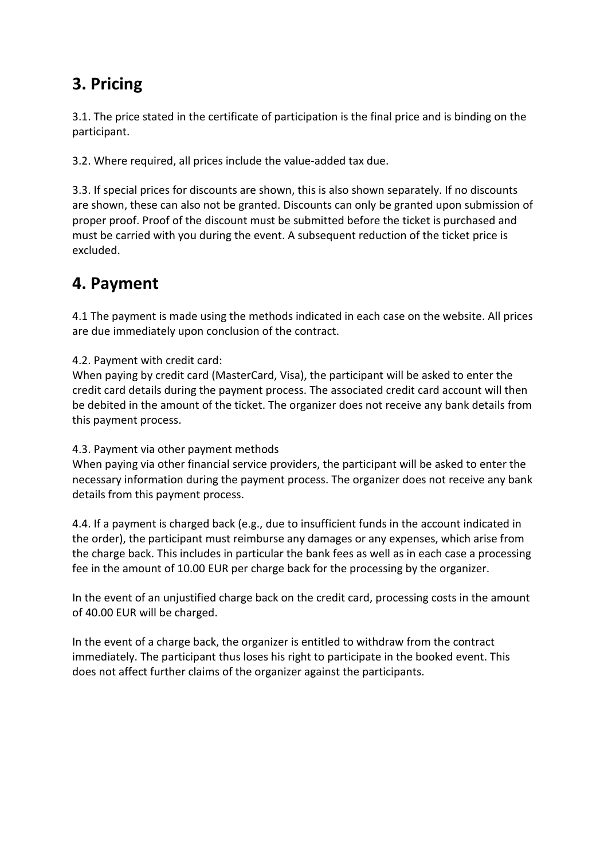### **3. Pricing**

3.1. The price stated in the certificate of participation is the final price and is binding on the participant.

3.2. Where required, all prices include the value-added tax due.

3.3. If special prices for discounts are shown, this is also shown separately. If no discounts are shown, these can also not be granted. Discounts can only be granted upon submission of proper proof. Proof of the discount must be submitted before the ticket is purchased and must be carried with you during the event. A subsequent reduction of the ticket price is excluded.

### **4. Payment**

4.1 The payment is made using the methods indicated in each case on the website. All prices are due immediately upon conclusion of the contract.

4.2. Payment with credit card:

When paying by credit card (MasterCard, Visa), the participant will be asked to enter the credit card details during the payment process. The associated credit card account will then be debited in the amount of the ticket. The organizer does not receive any bank details from this payment process.

#### 4.3. Payment via other payment methods

When paying via other financial service providers, the participant will be asked to enter the necessary information during the payment process. The organizer does not receive any bank details from this payment process.

4.4. If a payment is charged back (e.g., due to insufficient funds in the account indicated in the order), the participant must reimburse any damages or any expenses, which arise from the charge back. This includes in particular the bank fees as well as in each case a processing fee in the amount of 10.00 EUR per charge back for the processing by the organizer.

In the event of an unjustified charge back on the credit card, processing costs in the amount of 40.00 EUR will be charged.

In the event of a charge back, the organizer is entitled to withdraw from the contract immediately. The participant thus loses his right to participate in the booked event. This does not affect further claims of the organizer against the participants.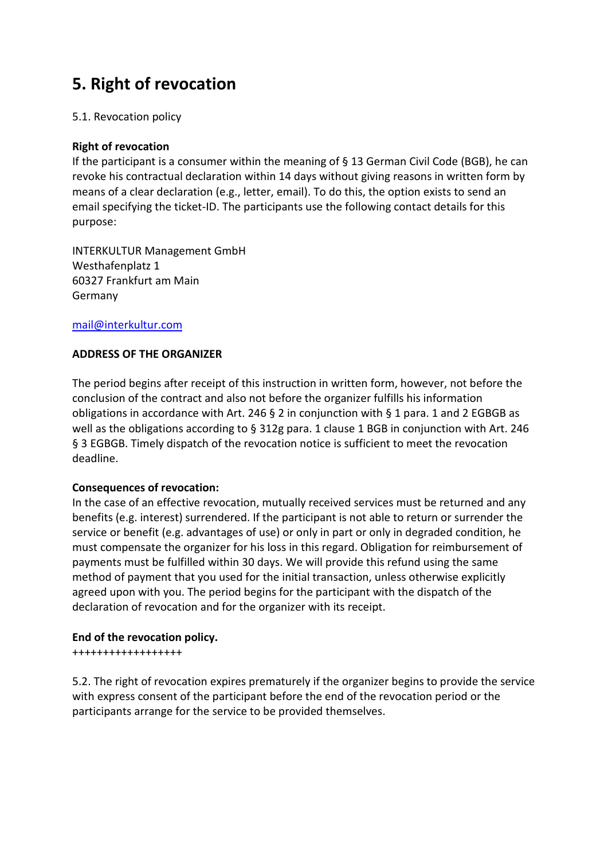# **5. Right of revocation**

#### 5.1. Revocation policy

#### **Right of revocation**

If the participant is a consumer within the meaning of § 13 German Civil Code (BGB), he can revoke his contractual declaration within 14 days without giving reasons in written form by means of a clear declaration (e.g., letter, email). To do this, the option exists to send an email specifying the ticket-ID. The participants use the following contact details for this purpose:

INTERKULTUR Management GmbH Westhafenplatz 1 60327 Frankfurt am Main Germany

#### [mail@interkultur.com](mailto:mail@interkultur.com)

#### **ADDRESS OF THE ORGANIZER**

The period begins after receipt of this instruction in written form, however, not before the conclusion of the contract and also not before the organizer fulfills his information obligations in accordance with Art. 246 § 2 in conjunction with § 1 para. 1 and 2 EGBGB as well as the obligations according to § 312g para. 1 clause 1 BGB in conjunction with Art. 246 § 3 EGBGB. Timely dispatch of the revocation notice is sufficient to meet the revocation deadline.

#### **Consequences of revocation:**

In the case of an effective revocation, mutually received services must be returned and any benefits (e.g. interest) surrendered. If the participant is not able to return or surrender the service or benefit (e.g. advantages of use) or only in part or only in degraded condition, he must compensate the organizer for his loss in this regard. Obligation for reimbursement of payments must be fulfilled within 30 days. We will provide this refund using the same method of payment that you used for the initial transaction, unless otherwise explicitly agreed upon with you. The period begins for the participant with the dispatch of the declaration of revocation and for the organizer with its receipt.

#### **End of the revocation policy.**

++++++++++++++++++

5.2. The right of revocation expires prematurely if the organizer begins to provide the service with express consent of the participant before the end of the revocation period or the participants arrange for the service to be provided themselves.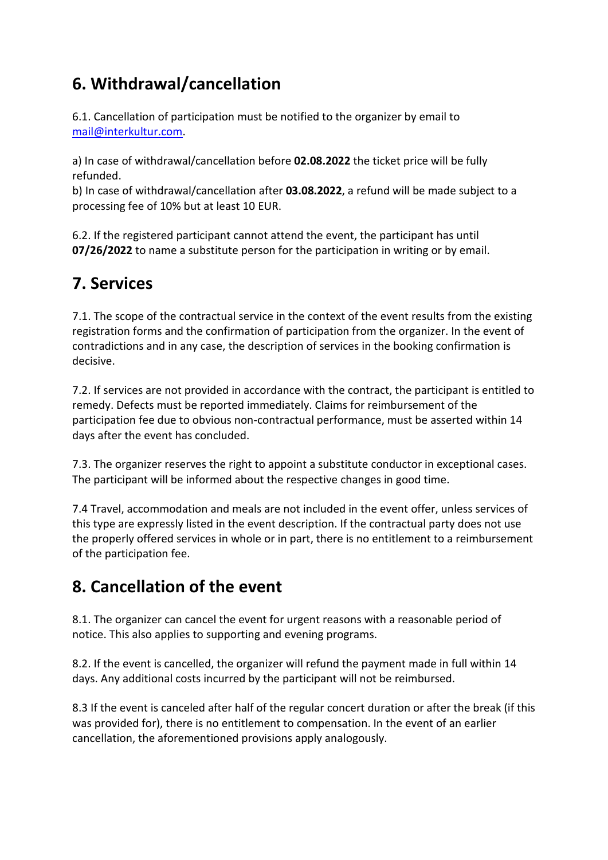# **6. Withdrawal/cancellation**

6.1. Cancellation of participation must be notified to the organizer by email to [mail@interkultur.com.](mailto:mail@interkultur.com)

a) In case of withdrawal/cancellation before **02.08.2022** the ticket price will be fully refunded.

b) In case of withdrawal/cancellation after **03.08.2022**, a refund will be made subject to a processing fee of 10% but at least 10 EUR.

6.2. If the registered participant cannot attend the event, the participant has until **07/26/2022** to name a substitute person for the participation in writing or by email.

# **7. Services**

7.1. The scope of the contractual service in the context of the event results from the existing registration forms and the confirmation of participation from the organizer. In the event of contradictions and in any case, the description of services in the booking confirmation is decisive.

7.2. If services are not provided in accordance with the contract, the participant is entitled to remedy. Defects must be reported immediately. Claims for reimbursement of the participation fee due to obvious non-contractual performance, must be asserted within 14 days after the event has concluded.

7.3. The organizer reserves the right to appoint a substitute conductor in exceptional cases. The participant will be informed about the respective changes in good time.

7.4 Travel, accommodation and meals are not included in the event offer, unless services of this type are expressly listed in the event description. If the contractual party does not use the properly offered services in whole or in part, there is no entitlement to a reimbursement of the participation fee.

# **8. Cancellation of the event**

8.1. The organizer can cancel the event for urgent reasons with a reasonable period of notice. This also applies to supporting and evening programs.

8.2. If the event is cancelled, the organizer will refund the payment made in full within 14 days. Any additional costs incurred by the participant will not be reimbursed.

8.3 If the event is canceled after half of the regular concert duration or after the break (if this was provided for), there is no entitlement to compensation. In the event of an earlier cancellation, the aforementioned provisions apply analogously.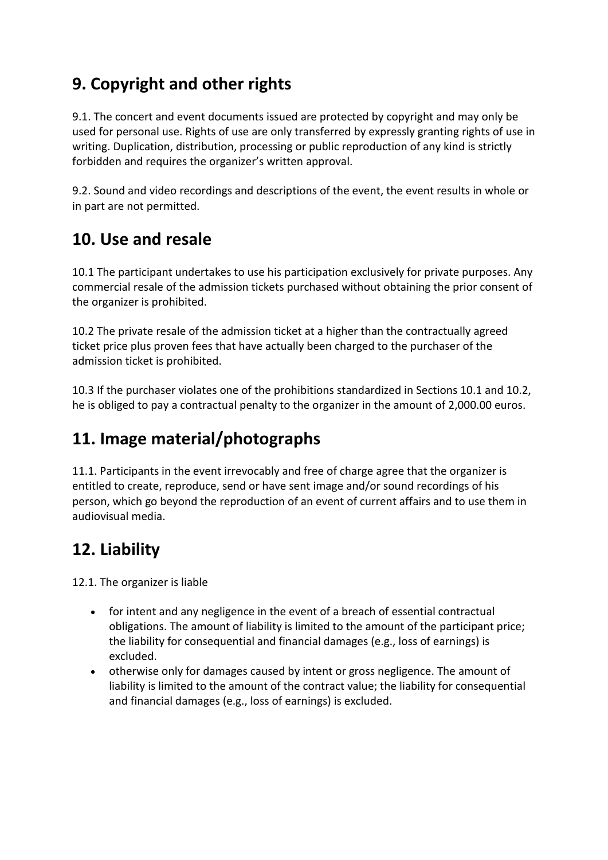# **9. Copyright and other rights**

9.1. The concert and event documents issued are protected by copyright and may only be used for personal use. Rights of use are only transferred by expressly granting rights of use in writing. Duplication, distribution, processing or public reproduction of any kind is strictly forbidden and requires the organizer's written approval.

9.2. Sound and video recordings and descriptions of the event, the event results in whole or in part are not permitted.

### **10. Use and resale**

10.1 The participant undertakes to use his participation exclusively for private purposes. Any commercial resale of the admission tickets purchased without obtaining the prior consent of the organizer is prohibited.

10.2 The private resale of the admission ticket at a higher than the contractually agreed ticket price plus proven fees that have actually been charged to the purchaser of the admission ticket is prohibited.

10.3 If the purchaser violates one of the prohibitions standardized in Sections 10.1 and 10.2, he is obliged to pay a contractual penalty to the organizer in the amount of 2,000.00 euros.

# **11. Image material/photographs**

11.1. Participants in the event irrevocably and free of charge agree that the organizer is entitled to create, reproduce, send or have sent image and/or sound recordings of his person, which go beyond the reproduction of an event of current affairs and to use them in audiovisual media.

# **12. Liability**

12.1. The organizer is liable

- for intent and any negligence in the event of a breach of essential contractual obligations. The amount of liability is limited to the amount of the participant price; the liability for consequential and financial damages (e.g., loss of earnings) is excluded.
- otherwise only for damages caused by intent or gross negligence. The amount of liability is limited to the amount of the contract value; the liability for consequential and financial damages (e.g., loss of earnings) is excluded.